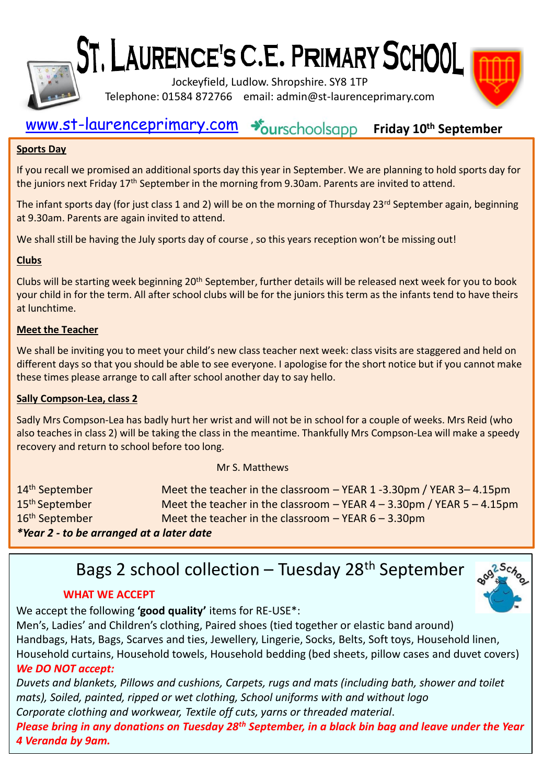

ST, LAURENCE'S C.E. PRIMARY SCHOOL

Jockeyfield, Ludlow. Shropshire. SY8 1TP Telephone: 01584 872766 email: admin@st-laurenceprimary.com



#### [www.st-laurenceprimary.com](http://www.st-laurenceprimary.com/) +burschoolsapp **Friday 10th September**

## **Sports Day**

If you recall we promised an additional sports day this year in September. We are planning to hold sports day for the juniors next Friday 17<sup>th</sup> September in the morning from 9.30am. Parents are invited to attend.

The infant sports day (for just class 1 and 2) will be on the morning of Thursday 23rd September again, beginning at 9.30am. Parents are again invited to attend.

We shall still be having the July sports day of course, so this years reception won't be missing out!

## **Clubs**

Clubs will be starting week beginning 20<sup>th</sup> September, further details will be released next week for you to book your child in for the term. All after school clubs will be for the juniors this term as the infants tend to have theirs at lunchtime.

## **Meet the Teacher**

We shall be inviting you to meet your child's new class teacher next week: class visits are staggered and held on different days so that you should be able to see everyone. I apologise for the short notice but if you cannot make these times please arrange to call after school another day to say hello.

## **Sally Compson-Lea, class 2**

Sadly Mrs Compson-Lea has badly hurt her wrist and will not be in school for a couple of weeks. Mrs Reid (who also teaches in class 2) will be taking the class in the meantime. Thankfully Mrs Compson-Lea will make a speedy recovery and return to school before too long.

#### Mr S. Matthews

| 14 <sup>th</sup> September               | Meet the teacher in the classroom - YEAR 1-3.30pm / YEAR 3-4.15pm           |
|------------------------------------------|-----------------------------------------------------------------------------|
| 15 <sup>th</sup> September               | Meet the teacher in the classroom $-$ YEAR 4 $-$ 3.30pm / YEAR 5 $-$ 4.15pm |
| 16 <sup>th</sup> September               | Meet the teacher in the classroom $-$ YEAR 6 $-$ 3.30pm                     |
| *Year 2 - to be arranged at a later date |                                                                             |

Bags 2 school collection – Tuesday 28<sup>th</sup> September

## **WHAT WE ACCEPT**

We accept the following **'good quality'** items for RE-USE\*:

Men's, Ladies' and Children's clothing, Paired shoes (tied together or elastic band around) Handbags, Hats, Bags, Scarves and ties, Jewellery, Lingerie, Socks, Belts, Soft toys, Household linen, Household curtains, Household towels, Household bedding (bed sheets, pillow cases and duvet covers) *We DO NOT accept:*

*Duvets and blankets, Pillows and cushions, Carpets, rugs and mats (including bath, shower and toilet mats), Soiled, painted, ripped or wet clothing, School uniforms with and without logo Corporate clothing and workwear, Textile off cuts, yarns or threaded material*. *Please bring in any donations on Tuesday 28th September, in a black bin bag and leave under the Year 4 Veranda by 9am.*